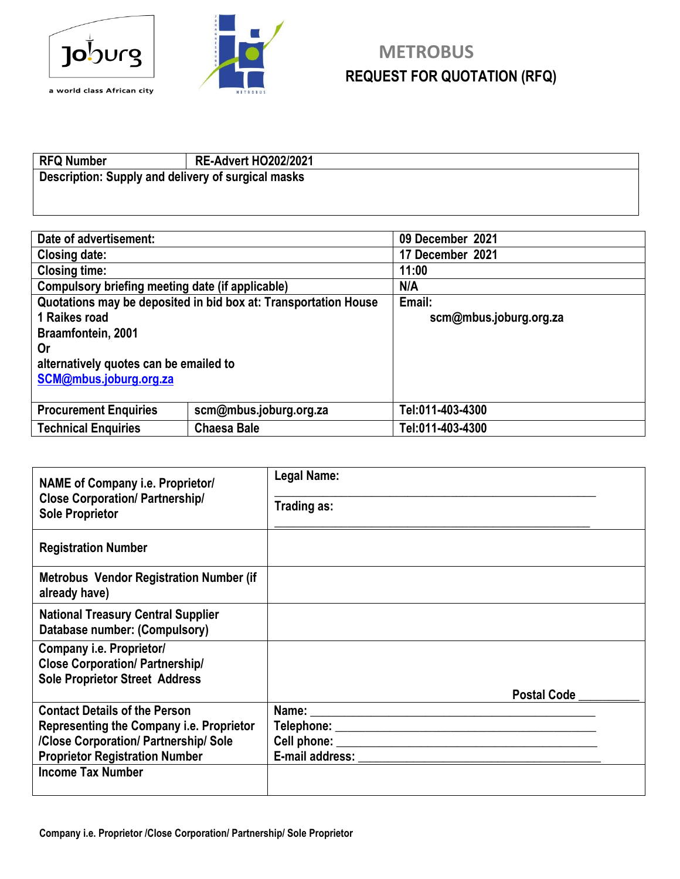



## **Joburg** METROBUS **REQUEST FOR QUOTATION (RFQ) REQUEST FOR QUOTATION (RFQ)**

## **RFQ Number RE-Advert HO202/2021 Description: Supply and delivery of surgical masks**

| Date of advertisement:                                          |  | 09 December 2021       |
|-----------------------------------------------------------------|--|------------------------|
| <b>Closing date:</b>                                            |  | 17 December 2021       |
| <b>Closing time:</b>                                            |  | 11:00                  |
| Compulsory briefing meeting date (if applicable)                |  | <b>N/A</b>             |
| Quotations may be deposited in bid box at: Transportation House |  | Email:                 |
| 1 Raikes road                                                   |  | scm@mbus.joburg.org.za |
| Braamfontein, 2001                                              |  |                        |
| <b>Or</b>                                                       |  |                        |
| alternatively quotes can be emailed to                          |  |                        |
| SCM@mbus.joburg.org.za                                          |  |                        |
|                                                                 |  |                        |
| <b>Procurement Enquiries</b><br>scm@mbus.joburg.org.za          |  | Tel:011-403-4300       |
| <b>Technical Enquiries</b><br><b>Chaesa Bale</b>                |  | Tel:011-403-4300       |

| <b>NAME of Company i.e. Proprietor/</b><br><b>Close Corporation/ Partnership/</b><br><b>Sole Proprietor</b> | Legal Name:<br>Trading as:      |  |
|-------------------------------------------------------------------------------------------------------------|---------------------------------|--|
| <b>Registration Number</b>                                                                                  |                                 |  |
| <b>Metrobus Vendor Registration Number (if</b><br>already have)                                             |                                 |  |
| <b>National Treasury Central Supplier</b><br>Database number: (Compulsory)                                  |                                 |  |
| Company i.e. Proprietor/<br><b>Close Corporation/ Partnership/</b><br><b>Sole Proprietor Street Address</b> |                                 |  |
|                                                                                                             | <b>Postal Code</b>              |  |
| <b>Contact Details of the Person</b>                                                                        |                                 |  |
| Representing the Company <i>i.e.</i> Proprietor                                                             |                                 |  |
| /Close Corporation/ Partnership/ Sole                                                                       |                                 |  |
| <b>Proprietor Registration Number</b>                                                                       | E-mail address: E-mail address: |  |
| <b>Income Tax Number</b>                                                                                    |                                 |  |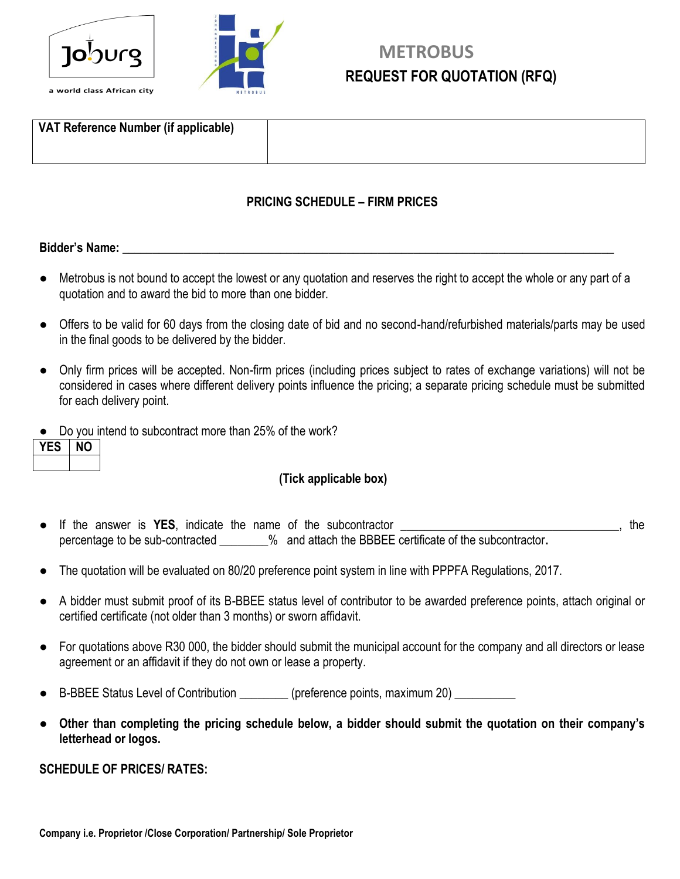



## **METROBUS REQUEST FOR QUOTATION (RFQ)**

| VAT Reference Number (if applicable) |  |  |
|--------------------------------------|--|--|
|                                      |  |  |

#### **PRICING SCHEDULE – FIRM PRICES**

#### **Bidder's Name:**  $\blacksquare$

- Metrobus is not bound to accept the lowest or any quotation and reserves the right to accept the whole or any part of a quotation and to award the bid to more than one bidder.
- Offers to be valid for 60 days from the closing date of bid and no second-hand/refurbished materials/parts may be used in the final goods to be delivered by the bidder.
- Only firm prices will be accepted. Non-firm prices (including prices subject to rates of exchange variations) will not be considered in cases where different delivery points influence the pricing; a separate pricing schedule must be submitted for each delivery point.
- Do you intend to subcontract more than 25% of the work?

#### **(Tick applicable box)**

- If the answer is **YES**, indicate the name of the subcontractor example the subpercentage to be sub-contracted \_\_\_\_\_\_\_\_% and attach the BBBEE certificate of the subcontractor**.**
- The quotation will be evaluated on 80/20 preference point system in line with PPPFA Regulations, 2017.
- A bidder must submit proof of its B-BBEE status level of contributor to be awarded preference points, attach original or certified certificate (not older than 3 months) or sworn affidavit.
- For quotations above R30 000, the bidder should submit the municipal account for the company and all directors or lease agreement or an affidavit if they do not own or lease a property.
- B-BBEE Status Level of Contribution \_\_\_\_\_\_\_\_ (preference points, maximum 20) \_\_\_\_\_\_\_\_\_
- **Other than completing the pricing schedule below, a bidder should submit the quotation on their company's letterhead or logos.**

#### **SCHEDULE OF PRICES/ RATES:**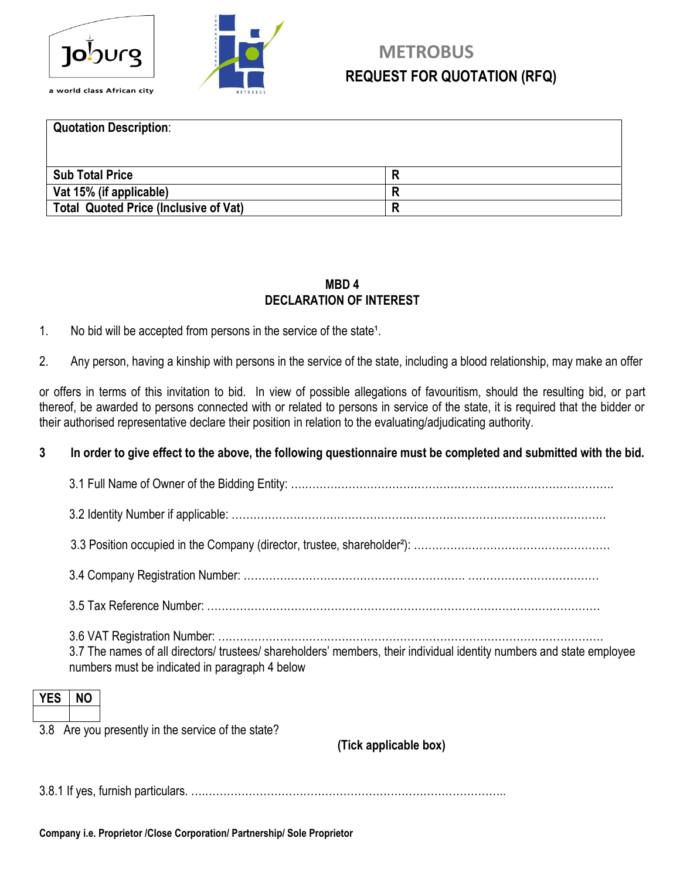



## **METROBUS REQUEST FOR QUOTATION (RFQ) REQUEST FOR QUOTATION (RFQ)**

**Quotation Description**: **Sub Total Price R Vat 15% (if applicable) R Total Quoted Price (Inclusive of Vat) R**

#### **MBD 4 DECLARATION OF INTEREST**

1. No bid will be accepted from persons in the service of the state<sup>1</sup>.

2. Any person, having a kinship with persons in the service of the state, including a blood relationship, may make an offer

or offers in terms of this invitation to bid. In view of possible allegations of favouritism, should the resulting bid, or part thereof, be awarded to persons connected with or related to persons in service of the state, it is required that the bidder or their authorised representative declare their position in relation to the evaluating/adjudicating authority.

#### **3 In order to give effect to the above, the following questionnaire must be completed and submitted with the bid.**

| <b>YES</b> |                                                                                                                                                                         |
|------------|-------------------------------------------------------------------------------------------------------------------------------------------------------------------------|
|            | 3.7 The names of all directors/ trustees/ shareholders' members, their individual identity numbers and state employee<br>numbers must be indicated in paragraph 4 below |
|            |                                                                                                                                                                         |
|            |                                                                                                                                                                         |
|            |                                                                                                                                                                         |
|            |                                                                                                                                                                         |
|            |                                                                                                                                                                         |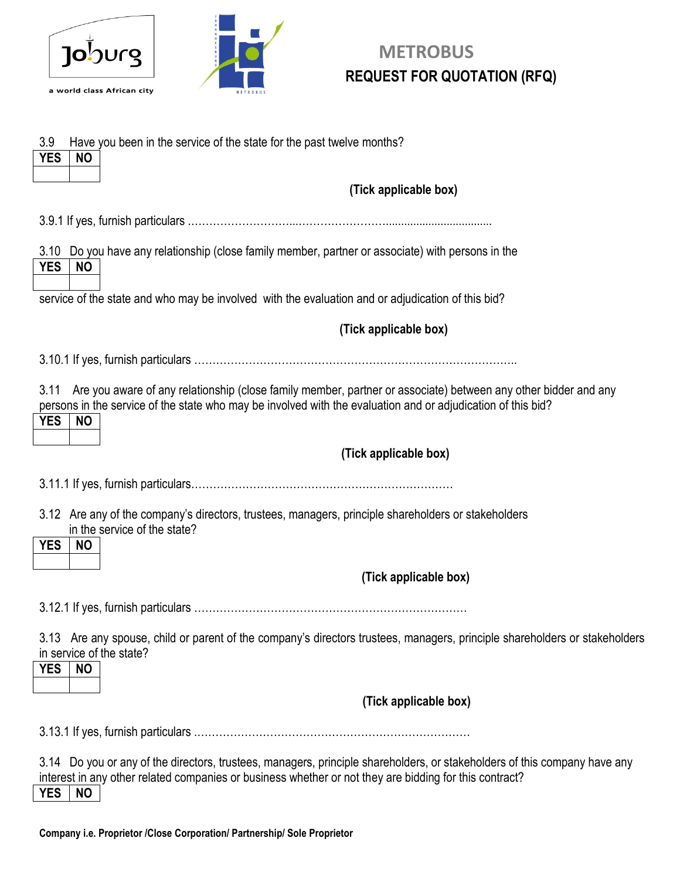



## **Joburg** METROBUS **REQUEST FOR QUOTATION (RFQ)**

| 3.9<br>Have you been in the service of the state for the past twelve months?<br><b>YES</b><br><b>NO</b>                                                                                                                                                           |
|-------------------------------------------------------------------------------------------------------------------------------------------------------------------------------------------------------------------------------------------------------------------|
| (Tick applicable box)                                                                                                                                                                                                                                             |
|                                                                                                                                                                                                                                                                   |
| 3.10<br>Do you have any relationship (close family member, partner or associate) with persons in the<br><b>YES</b><br><b>NO</b>                                                                                                                                   |
| service of the state and who may be involved with the evaluation and or adjudication of this bid?                                                                                                                                                                 |
| (Tick applicable box)                                                                                                                                                                                                                                             |
|                                                                                                                                                                                                                                                                   |
| 3.11<br>Are you aware of any relationship (close family member, partner or associate) between any other bidder and any<br>persons in the service of the state who may be involved with the evaluation and or adjudication of this bid?<br><b>YES</b><br><b>NO</b> |
| (Tick applicable box)                                                                                                                                                                                                                                             |
|                                                                                                                                                                                                                                                                   |
| 3.12 Are any of the company's directors, trustees, managers, principle shareholders or stakeholders<br>in the service of the state?<br><b>YES</b><br><b>NO</b>                                                                                                    |
| (Tick applicable box)                                                                                                                                                                                                                                             |
|                                                                                                                                                                                                                                                                   |
| 3.13 Are any spouse, child or parent of the company's directors trustees, managers, principle shareholders or stakeholders<br>in service of the state?<br><b>YES</b><br><b>NO</b>                                                                                 |
|                                                                                                                                                                                                                                                                   |
| (Tick applicable box)                                                                                                                                                                                                                                             |
|                                                                                                                                                                                                                                                                   |
| 3.14 Do you or any of the directors, trustees, managers, principle shareholders, or stakeholders of this company have any<br>interest in any other related companies or business whether or not they are bidding for this contract?<br><b>YES</b><br><b>NO</b>    |

**Company i.e. Proprietor /Close Corporation/ Partnership/ Sole Proprietor**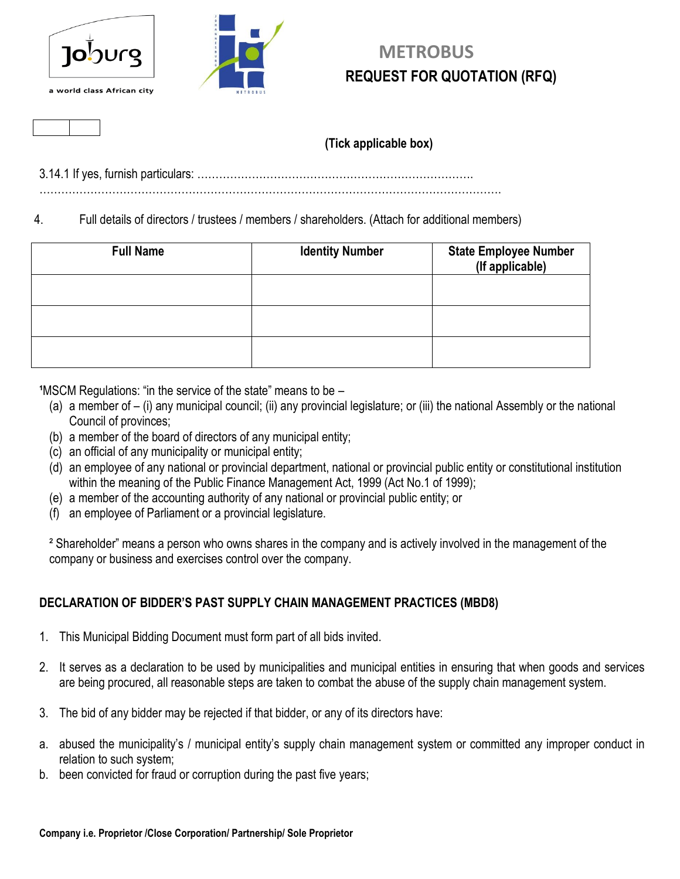



## **METROBUS REQUEST FOR QUOTATION (RFQ)**

#### **(Tick applicable box)**

3.14.1 If yes, furnish particulars: ………………………………………………………………….

……………………………………………………………………………………………………………….

4. Full details of directors / trustees / members / shareholders. (Attach for additional members)

| <b>Full Name</b> | <b>Identity Number</b> | <b>State Employee Number</b><br>(If applicable) |
|------------------|------------------------|-------------------------------------------------|
|                  |                        |                                                 |
|                  |                        |                                                 |
|                  |                        |                                                 |

**<sup>1</sup>MSCM Regulations: "in the service of the state" means to be –** 

- (a) a member of (i) any municipal council; (ii) any provincial legislature; or (iii) the national Assembly or the national Council of provinces;
- (b) a member of the board of directors of any municipal entity;
- (c) an official of any municipality or municipal entity;
- (d) an employee of any national or provincial department, national or provincial public entity or constitutional institution within the meaning of the Public Finance Management Act, 1999 (Act No.1 of 1999);
- (e) a member of the accounting authority of any national or provincial public entity; or
- (f) an employee of Parliament or a provincial legislature.

² Shareholder" means a person who owns shares in the company and is actively involved in the management of the company or business and exercises control over the company.

#### **DECLARATION OF BIDDER'S PAST SUPPLY CHAIN MANAGEMENT PRACTICES (MBD8)**

- 1. This Municipal Bidding Document must form part of all bids invited.
- 2. It serves as a declaration to be used by municipalities and municipal entities in ensuring that when goods and services are being procured, all reasonable steps are taken to combat the abuse of the supply chain management system.
- 3. The bid of any bidder may be rejected if that bidder, or any of its directors have:
- a. abused the municipality's / municipal entity's supply chain management system or committed any improper conduct in relation to such system;
- b. been convicted for fraud or corruption during the past five years;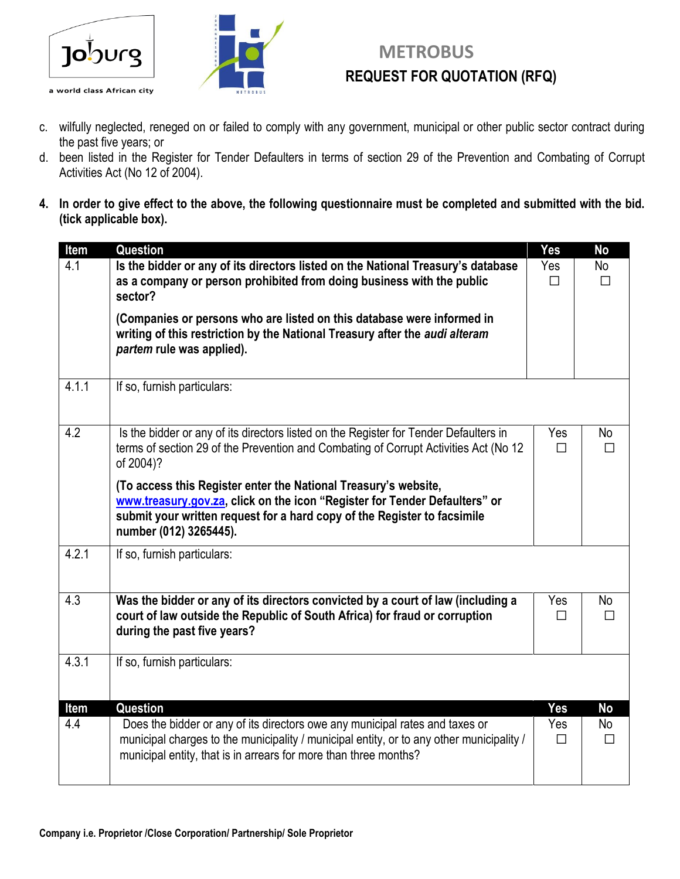



## **TO**OUrg and **ACCEPT** METROBUS **REQUEST FOR QUOTATION (RFQ) REQUEST FOR QUOTATION (RFQ)**

- c. wilfully neglected, reneged on or failed to comply with any government, municipal or other public sector contract during the past five years; or
- d. been listed in the Register for Tender Defaulters in terms of section 29 of the Prevention and Combating of Corrupt Activities Act (No 12 of 2004).
- **4. In order to give effect to the above, the following questionnaire must be completed and submitted with the bid. (tick applicable box).**

| Item  | Question                                                                                                                                                                                                                                            | Yes           | <b>No</b>    |
|-------|-----------------------------------------------------------------------------------------------------------------------------------------------------------------------------------------------------------------------------------------------------|---------------|--------------|
| 4.1   | Is the bidder or any of its directors listed on the National Treasury's database<br>as a company or person prohibited from doing business with the public<br>sector?                                                                                | Yes<br>П      | No<br>П      |
|       | (Companies or persons who are listed on this database were informed in<br>writing of this restriction by the National Treasury after the audi alteram<br>partem rule was applied).                                                                  |               |              |
| 4.1.1 | If so, furnish particulars:                                                                                                                                                                                                                         |               |              |
| 4.2   | Is the bidder or any of its directors listed on the Register for Tender Defaulters in<br>terms of section 29 of the Prevention and Combating of Corrupt Activities Act (No 12<br>of 2004)?                                                          | Yes<br>$\Box$ | No<br>П      |
|       | (To access this Register enter the National Treasury's website,<br>www.treasury.gov.za, click on the icon "Register for Tender Defaulters" or<br>submit your written request for a hard copy of the Register to facsimile<br>number (012) 3265445). |               |              |
| 4.2.1 | If so, furnish particulars:                                                                                                                                                                                                                         |               |              |
| 4.3   | Was the bidder or any of its directors convicted by a court of law (including a<br>court of law outside the Republic of South Africa) for fraud or corruption<br>during the past five years?                                                        | Yes<br>$\Box$ | No<br>$\Box$ |
| 4.3.1 | If so, furnish particulars:                                                                                                                                                                                                                         |               |              |
| Item  | <b>Question</b>                                                                                                                                                                                                                                     | <b>Yes</b>    | <b>No</b>    |
| 4.4   | Does the bidder or any of its directors owe any municipal rates and taxes or<br>municipal charges to the municipality / municipal entity, or to any other municipality /<br>municipal entity, that is in arrears for more than three months?        | Yes<br>$\Box$ | No<br>$\Box$ |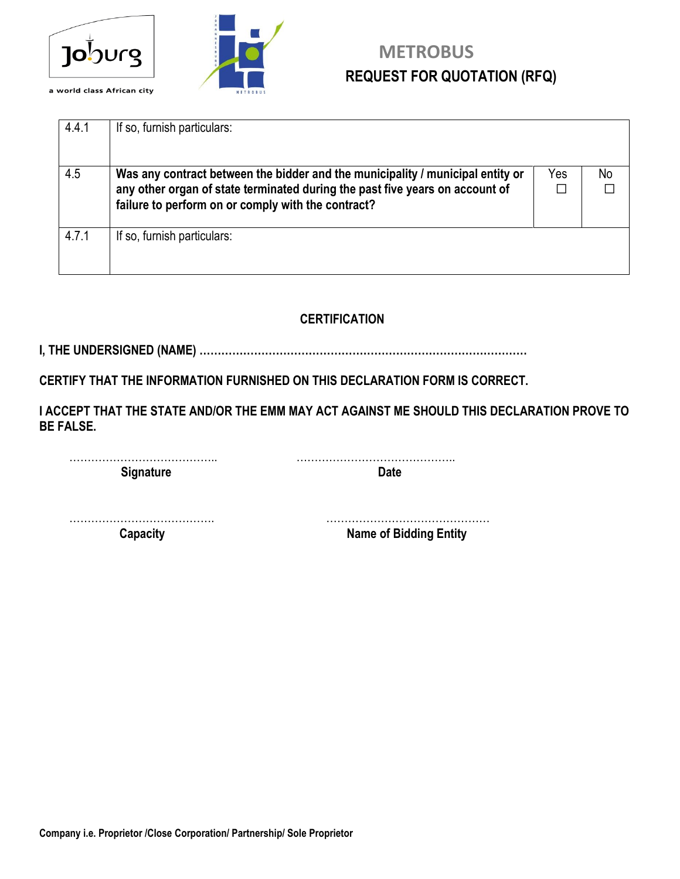



## **TO**OUrg **EXECUTE: REQUEST FOR QUOTATION (RFQ) REQUEST FOR QUOTATION (RFQ)**

| 4.4.1 | If so, furnish particulars:                                                                                                                                                                                          |          |    |
|-------|----------------------------------------------------------------------------------------------------------------------------------------------------------------------------------------------------------------------|----------|----|
| 4.5   | Was any contract between the bidder and the municipality / municipal entity or<br>any other organ of state terminated during the past five years on account of<br>failure to perform on or comply with the contract? | Yes<br>П | No |
| 4.7.1 | If so, furnish particulars:                                                                                                                                                                                          |          |    |

### **CERTIFICATION**

**I, THE UNDERSIGNED (NAME) ………………………………………………………………………………**

**CERTIFY THAT THE INFORMATION FURNISHED ON THIS DECLARATION FORM IS CORRECT.**

**I ACCEPT THAT THE STATE AND/OR THE EMM MAY ACT AGAINST ME SHOULD THIS DECLARATION PROVE TO BE FALSE.**

………………………………….. …………………………………….. **Signature Date** 

…………………………………. ………………………………………

**Capacity** Capacity **Capacity Capacity Name of Bidding Entity**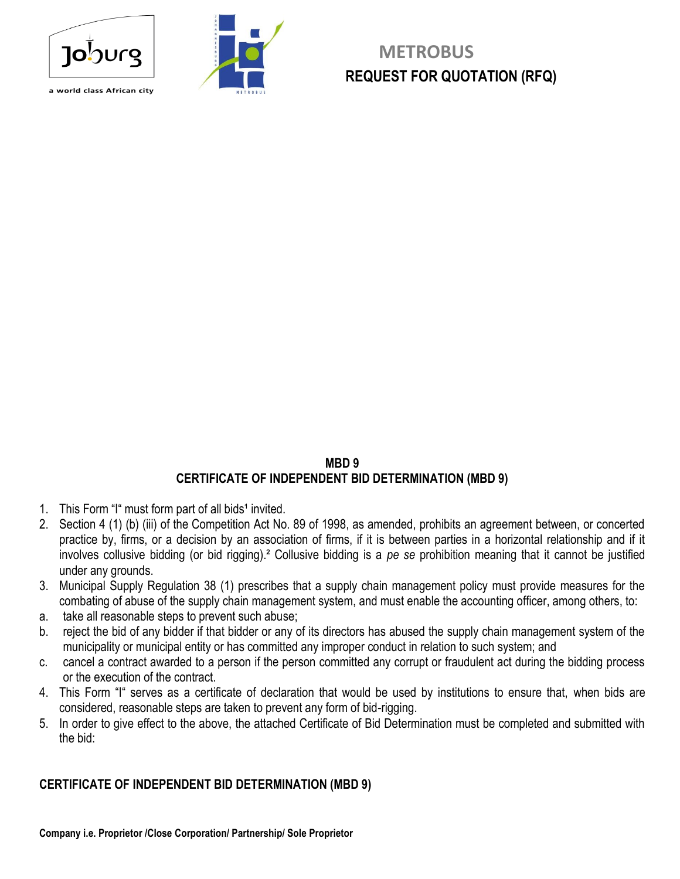





## **METROBUS REQUEST FOR QUOTATION (RFQ)**

#### **MBD 9 CERTIFICATE OF INDEPENDENT BID DETERMINATION (MBD 9)**

- 1. This Form "I" must form part of all bids<sup>1</sup> invited.
- 2. Section 4 (1) (b) (iii) of the Competition Act No. 89 of 1998, as amended, prohibits an agreement between, or concerted practice by, firms, or a decision by an association of firms, if it is between parties in a horizontal relationship and if it involves collusive bidding (or bid rigging).² Collusive bidding is a *pe se* prohibition meaning that it cannot be justified under any grounds.
- 3. Municipal Supply Regulation 38 (1) prescribes that a supply chain management policy must provide measures for the combating of abuse of the supply chain management system, and must enable the accounting officer, among others, to:
- a. take all reasonable steps to prevent such abuse;
- b. reject the bid of any bidder if that bidder or any of its directors has abused the supply chain management system of the municipality or municipal entity or has committed any improper conduct in relation to such system; and
- c. cancel a contract awarded to a person if the person committed any corrupt or fraudulent act during the bidding process or the execution of the contract.
- 4. This Form "I" serves as a certificate of declaration that would be used by institutions to ensure that, when bids are considered, reasonable steps are taken to prevent any form of bid-rigging.
- 5. In order to give effect to the above, the attached Certificate of Bid Determination must be completed and submitted with the bid:

#### **CERTIFICATE OF INDEPENDENT BID DETERMINATION (MBD 9)**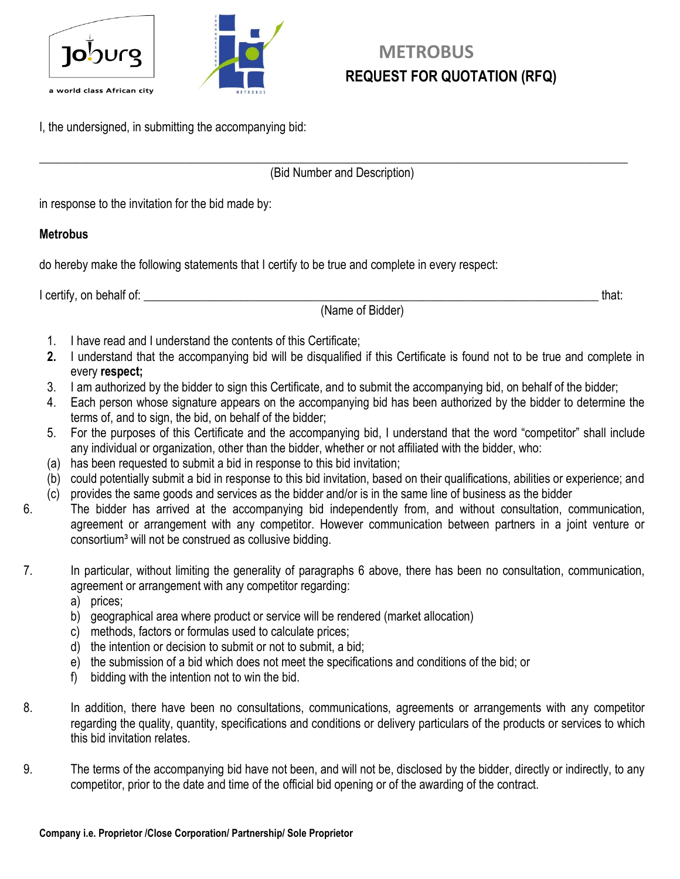



## **METROBUS REQUEST FOR QUOTATION (RFQ)**

I, the undersigned, in submitting the accompanying bid:

 $\_$  , and the set of the set of the set of the set of the set of the set of the set of the set of the set of the set of the set of the set of the set of the set of the set of the set of the set of the set of the set of th (Bid Number and Description)

in response to the invitation for the bid made by:

#### **Metrobus**

do hereby make the following statements that I certify to be true and complete in every respect:

I certify, on behalf of: \_\_\_\_\_\_\_\_\_\_\_\_\_\_\_\_\_\_\_\_\_\_\_\_\_\_\_\_\_\_\_\_\_\_\_\_\_\_\_\_\_\_\_\_\_\_\_\_\_\_\_\_\_\_\_\_\_\_\_\_\_\_\_\_\_\_\_\_\_\_\_\_\_\_\_ that:

(Name of Bidder)

- 1. I have read and I understand the contents of this Certificate;
- **2.** I understand that the accompanying bid will be disqualified if this Certificate is found not to be true and complete in every **respect;**
- 3. I am authorized by the bidder to sign this Certificate, and to submit the accompanying bid, on behalf of the bidder;
- 4. Each person whose signature appears on the accompanying bid has been authorized by the bidder to determine the terms of, and to sign, the bid, on behalf of the bidder;
- 5. For the purposes of this Certificate and the accompanying bid, I understand that the word "competitor" shall include any individual or organization, other than the bidder, whether or not affiliated with the bidder, who:
- (a) has been requested to submit a bid in response to this bid invitation;
- (b) could potentially submit a bid in response to this bid invitation, based on their qualifications, abilities or experience; and
- (c) provides the same goods and services as the bidder and/or is in the same line of business as the bidder
- 6. The bidder has arrived at the accompanying bid independently from, and without consultation, communication, agreement or arrangement with any competitor. However communication between partners in a joint venture or consortium<sup>3</sup> will not be construed as collusive bidding.
- 7. In particular, without limiting the generality of paragraphs 6 above, there has been no consultation, communication, agreement or arrangement with any competitor regarding:
	- a) prices;
	- b) geographical area where product or service will be rendered (market allocation)
	- c) methods, factors or formulas used to calculate prices;
	- d) the intention or decision to submit or not to submit, a bid;
	- e) the submission of a bid which does not meet the specifications and conditions of the bid; or
	- f) bidding with the intention not to win the bid.
- 8. In addition, there have been no consultations, communications, agreements or arrangements with any competitor regarding the quality, quantity, specifications and conditions or delivery particulars of the products or services to which this bid invitation relates.
- 9. The terms of the accompanying bid have not been, and will not be, disclosed by the bidder, directly or indirectly, to any competitor, prior to the date and time of the official bid opening or of the awarding of the contract.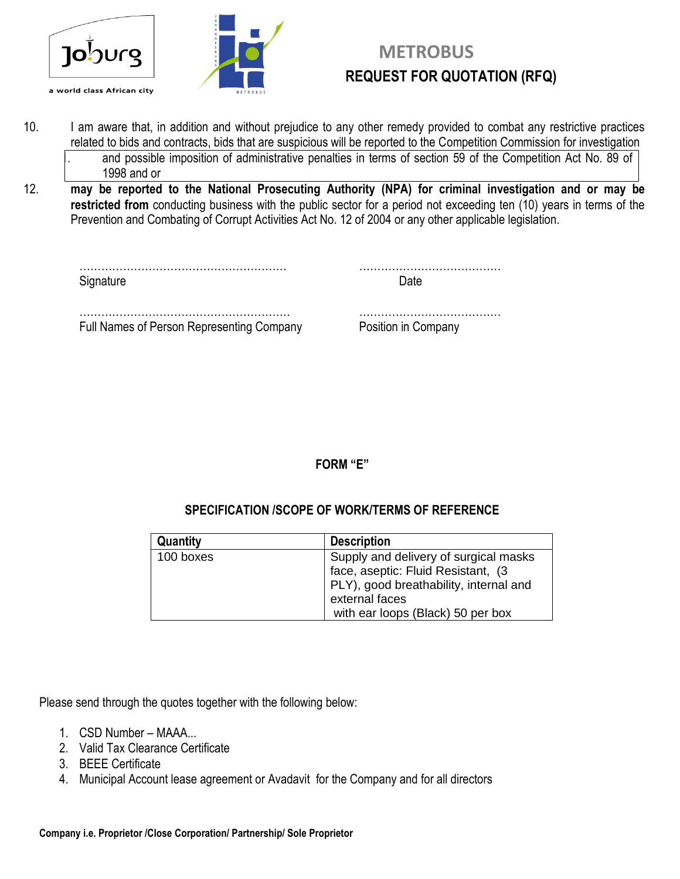

- 10. I am aware that, in addition and without prejudice to any other remedy provided to combat any restrictive practices related to bids and contracts, bids that are suspicious will be reported to the Competition Commission for investigation and possible imposition of administrative penalties in terms of section 59 of the Competition Act No. 89 of 1998 and or
- 12. **may be reported to the National Prosecuting Authority (NPA) for criminal investigation and or may be restricted from** conducting business with the public sector for a period not exceeding ten (10) years in terms of the Prevention and Combating of Corrupt Activities Act No. 12 of 2004 or any other applicable legislation.

| Signature                                 |                     |
|-------------------------------------------|---------------------|
|                                           |                     |
| Full Names of Person Representing Company | Position in Company |

**FORM "E"**

#### **SPECIFICATION /SCOPE OF WORK/TERMS OF REFERENCE**

| Quantity  | <b>Description</b>                                                                                                                      |
|-----------|-----------------------------------------------------------------------------------------------------------------------------------------|
| 100 boxes | Supply and delivery of surgical masks<br>face, aseptic: Fluid Resistant, (3<br>PLY), good breathability, internal and<br>external faces |
|           | with ear loops (Black) 50 per box                                                                                                       |

Please send through the quotes together with the following below:

- 1. CSD Number MAAA...
- 2. Valid Tax Clearance Certificate
- 3. BEEE Certificate
- 4. Municipal Account lease agreement or Avadavit for the Company and for all directors